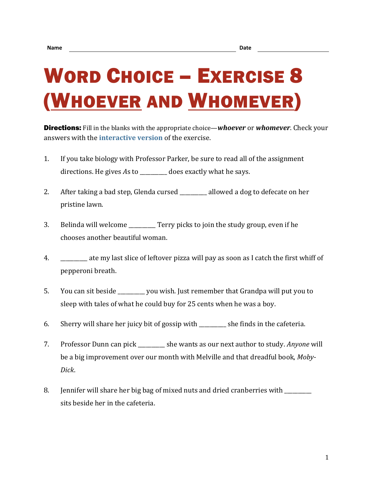## WORD CHOICE – EXERCISE 8 (WHOEVER AND WHOMEVER)

Directions: Fill in the blanks with the appropriate choice—*whoever* or *whomever*. Check your answers with the **[interactive version](https://chompchomp.com/hotpotatoes/wordchoice08.htm)** of the exercise.

- 1. If you take biology with Professor Parker, be sure to read all of the assignment directions. He gives *As* to does exactly what he says.
- 2. After taking a bad step, Glenda cursed \_\_\_\_\_\_\_\_ allowed a dog to defecate on her pristine lawn.
- 3. Belinda will welcome \_\_\_\_\_\_\_\_\_\_ Terry picks to join the study group, even if he chooses another beautiful woman.
- 4. \_\_\_\_\_\_\_\_\_\_ ate my last slice of leftover pizza will pay as soon as I catch the first whiff of pepperoni breath.
- 5. You can sit beside \_\_\_\_\_\_\_\_\_\_ you wish. Just remember that Grandpa will put you to sleep with tales of what he could buy for 25 cents when he was a boy.
- 6. Sherry will share her juicy bit of gossip with \_\_\_\_\_\_\_\_\_\_ she finds in the cafeteria.
- 7. Professor Dunn can pick \_\_\_\_\_\_\_\_\_\_ she wants as our next author to study. *Anyone* will be a big improvement over our month with Melville and that dreadful book, *Moby-Dick*.
- 8. Jennifer will share her big bag of mixed nuts and dried cranberries with sits beside her in the cafeteria.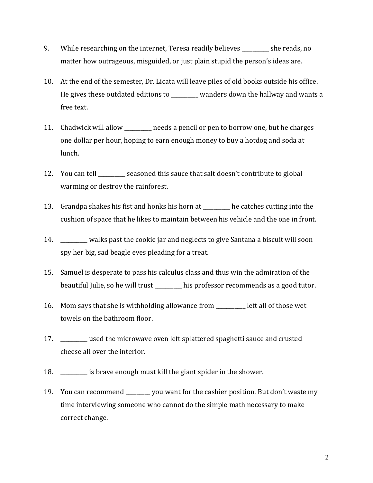- 9. While researching on the internet, Teresa readily believes she reads, no matter how outrageous, misguided, or just plain stupid the person's ideas are.
- 10. At the end of the semester, Dr. Licata will leave piles of old books outside his office. He gives these outdated editions to \_\_\_\_\_\_\_\_\_\_ wanders down the hallway and wants a free text.
- 11. Chadwick will allow \_\_\_\_\_\_\_\_\_\_ needs a pencil or pen to borrow one, but he charges one dollar per hour, hoping to earn enough money to buy a hotdog and soda at lunch.
- 12. You can tell \_\_\_\_\_\_\_\_\_\_ seasoned this sauce that salt doesn't contribute to global warming or destroy the rainforest.
- 13. Grandpa shakes his fist and honks his horn at \_\_\_\_\_\_\_\_\_\_ he catches cutting into the cushion of space that he likes to maintain between his vehicle and the one in front.
- 14. \_\_\_\_\_\_\_\_\_\_ walks past the cookie jar and neglects to give Santana a biscuit will soon spy her big, sad beagle eyes pleading for a treat.
- 15. Samuel is desperate to pass his calculus class and thus win the admiration of the beautiful Julie, so he will trust his professor recommends as a good tutor.
- 16. Mom says that she is withholding allowance from \_\_\_\_\_\_\_\_\_\_\_ left all of those wet towels on the bathroom floor.
- 17. \_\_\_\_\_\_\_\_\_\_ used the microwave oven left splattered spaghetti sauce and crusted cheese all over the interior.
- 18. \_\_\_\_\_\_\_\_\_\_ is brave enough must kill the giant spider in the shower.
- 19. You can recommend \_\_\_\_\_\_\_\_\_ you want for the cashier position. But don't waste my time interviewing someone who cannot do the simple math necessary to make correct change.